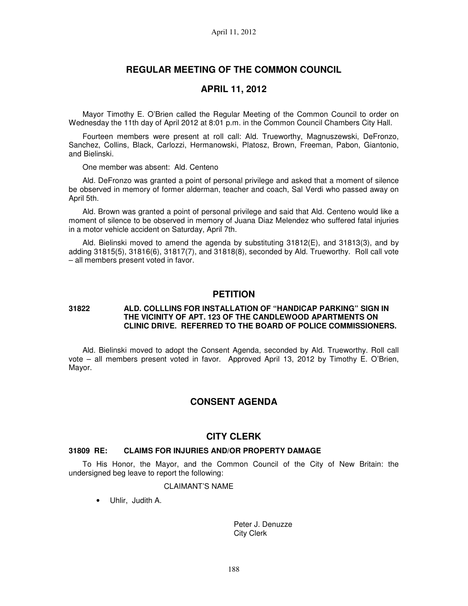# **REGULAR MEETING OF THE COMMON COUNCIL**

## **APRIL 11, 2012**

Mayor Timothy E. O'Brien called the Regular Meeting of the Common Council to order on Wednesday the 11th day of April 2012 at 8:01 p.m. in the Common Council Chambers City Hall.

Fourteen members were present at roll call: Ald. Trueworthy, Magnuszewski, DeFronzo, Sanchez, Collins, Black, Carlozzi, Hermanowski, Platosz, Brown, Freeman, Pabon, Giantonio, and Bielinski.

One member was absent: Ald. Centeno

Ald. DeFronzo was granted a point of personal privilege and asked that a moment of silence be observed in memory of former alderman, teacher and coach, Sal Verdi who passed away on April 5th.

Ald. Brown was granted a point of personal privilege and said that Ald. Centeno would like a moment of silence to be observed in memory of Juana Diaz Melendez who suffered fatal injuries in a motor vehicle accident on Saturday, April 7th.

Ald. Bielinski moved to amend the agenda by substituting 31812(E), and 31813(3), and by adding 31815(5), 31816(6), 31817(7), and 31818(8), seconded by Ald. Trueworthy. Roll call vote – all members present voted in favor.

### **PETITION**

### **31822 ALD. COLLLINS FOR INSTALLATION OF "HANDICAP PARKING" SIGN IN THE VICINITY OF APT. 123 OF THE CANDLEWOOD APARTMENTS ON CLINIC DRIVE. REFERRED TO THE BOARD OF POLICE COMMISSIONERS.**

Ald. Bielinski moved to adopt the Consent Agenda, seconded by Ald. Trueworthy. Roll call vote – all members present voted in favor. Approved April 13, 2012 by Timothy E. O'Brien, Mayor.

## **CONSENT AGENDA**

### **CITY CLERK**

#### **31809 RE: CLAIMS FOR INJURIES AND/OR PROPERTY DAMAGE**

To His Honor, the Mayor, and the Common Council of the City of New Britain: the undersigned beg leave to report the following:

### CLAIMANT'S NAME

• Uhlir, Judith A.

Peter J. Denuzze City Clerk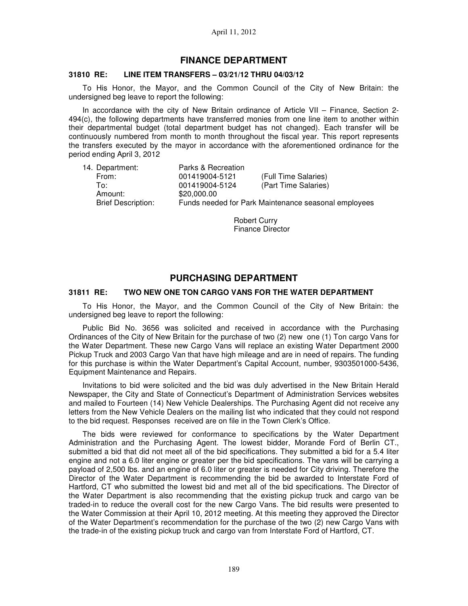## **FINANCE DEPARTMENT**

#### **31810 RE: LINE ITEM TRANSFERS – 03/21/12 THRU 04/03/12**

To His Honor, the Mayor, and the Common Council of the City of New Britain: the undersigned beg leave to report the following:

In accordance with the city of New Britain ordinance of Article VII – Finance, Section 2- 494(c), the following departments have transferred monies from one line item to another within their departmental budget (total department budget has not changed). Each transfer will be continuously numbered from month to month throughout the fiscal year. This report represents the transfers executed by the mayor in accordance with the aforementioned ordinance for the period ending April 3, 2012

| 14. Department:           | Parks & Recreation |                                                      |
|---------------------------|--------------------|------------------------------------------------------|
| From:                     | 001419004-5121     | (Full Time Salaries)                                 |
| To∶                       | 001419004-5124     | (Part Time Salaries)                                 |
| Amount:                   | \$20,000.00        |                                                      |
| <b>Brief Description:</b> |                    | Funds needed for Park Maintenance seasonal employees |

Robert Curry Finance Director

# **PURCHASING DEPARTMENT**

### **31811 RE: TWO NEW ONE TON CARGO VANS FOR THE WATER DEPARTMENT**

To His Honor, the Mayor, and the Common Council of the City of New Britain: the undersigned beg leave to report the following:

Public Bid No. 3656 was solicited and received in accordance with the Purchasing Ordinances of the City of New Britain for the purchase of two (2) new one (1) Ton cargo Vans for the Water Department. These new Cargo Vans will replace an existing Water Department 2000 Pickup Truck and 2003 Cargo Van that have high mileage and are in need of repairs. The funding for this purchase is within the Water Department's Capital Account, number, 9303501000-5436, Equipment Maintenance and Repairs.

Invitations to bid were solicited and the bid was duly advertised in the New Britain Herald Newspaper, the City and State of Connecticut's Department of Administration Services websites and mailed to Fourteen (14) New Vehicle Dealerships. The Purchasing Agent did not receive any letters from the New Vehicle Dealers on the mailing list who indicated that they could not respond to the bid request. Responses received are on file in the Town Clerk's Office.

The bids were reviewed for conformance to specifications by the Water Department Administration and the Purchasing Agent. The lowest bidder, Morande Ford of Berlin CT., submitted a bid that did not meet all of the bid specifications. They submitted a bid for a 5.4 liter engine and not a 6.0 liter engine or greater per the bid specifications. The vans will be carrying a payload of 2,500 lbs. and an engine of 6.0 liter or greater is needed for City driving. Therefore the Director of the Water Department is recommending the bid be awarded to Interstate Ford of Hartford, CT who submitted the lowest bid and met all of the bid specifications. The Director of the Water Department is also recommending that the existing pickup truck and cargo van be traded-in to reduce the overall cost for the new Cargo Vans. The bid results were presented to the Water Commission at their April 10, 2012 meeting. At this meeting they approved the Director of the Water Department's recommendation for the purchase of the two (2) new Cargo Vans with the trade-in of the existing pickup truck and cargo van from Interstate Ford of Hartford, CT.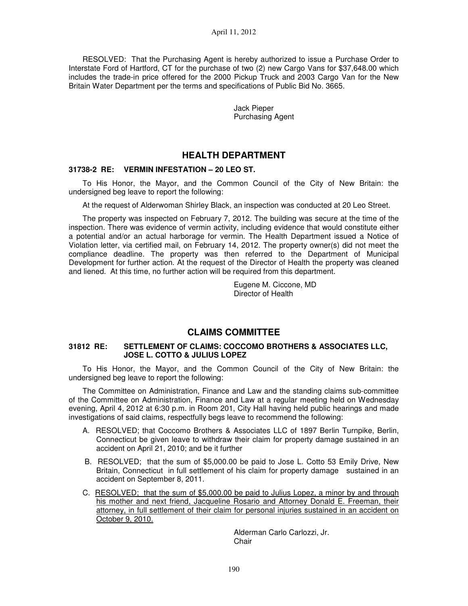RESOLVED: That the Purchasing Agent is hereby authorized to issue a Purchase Order to Interstate Ford of Hartford, CT for the purchase of two (2) new Cargo Vans for \$37,648.00 which includes the trade-in price offered for the 2000 Pickup Truck and 2003 Cargo Van for the New Britain Water Department per the terms and specifications of Public Bid No. 3665.

> Jack Pieper Purchasing Agent

# **HEALTH DEPARTMENT**

### **31738-2 RE: VERMIN INFESTATION – 20 LEO ST.**

To His Honor, the Mayor, and the Common Council of the City of New Britain: the undersigned beg leave to report the following:

At the request of Alderwoman Shirley Black, an inspection was conducted at 20 Leo Street.

The property was inspected on February 7, 2012. The building was secure at the time of the inspection. There was evidence of vermin activity, including evidence that would constitute either a potential and/or an actual harborage for vermin. The Health Department issued a Notice of Violation letter, via certified mail, on February 14, 2012. The property owner(s) did not meet the compliance deadline. The property was then referred to the Department of Municipal Development for further action. At the request of the Director of Health the property was cleaned and liened. At this time, no further action will be required from this department.

> Eugene M. Ciccone, MD Director of Health

# **CLAIMS COMMITTEE**

### **31812 RE: SETTLEMENT OF CLAIMS: COCCOMO BROTHERS & ASSOCIATES LLC, JOSE L. COTTO & JULIUS LOPEZ**

To His Honor, the Mayor, and the Common Council of the City of New Britain: the undersigned beg leave to report the following:

The Committee on Administration, Finance and Law and the standing claims sub-committee of the Committee on Administration, Finance and Law at a regular meeting held on Wednesday evening, April 4, 2012 at 6:30 p.m. in Room 201, City Hall having held public hearings and made investigations of said claims, respectfully begs leave to recommend the following:

- A. RESOLVED; that Coccomo Brothers & Associates LLC of 1897 Berlin Turnpike, Berlin, Connecticut be given leave to withdraw their claim for property damage sustained in an accident on April 21, 2010; and be it further
- B. RESOLVED; that the sum of \$5,000.00 be paid to Jose L. Cotto 53 Emily Drive, New Britain, Connecticut in full settlement of his claim for property damage sustained in an accident on September 8, 2011.
- C. RESOLVED; that the sum of \$5,000.00 be paid to Julius Lopez, a minor by and through his mother and next friend, Jacqueline Rosario and Attorney Donald E. Freeman, their attorney, in full settlement of their claim for personal injuries sustained in an accident on October 9, 2010.

Alderman Carlo Carlozzi, Jr. **Chair**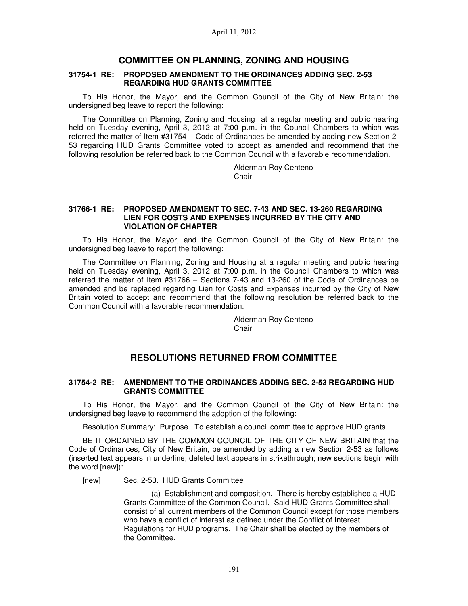## **COMMITTEE ON PLANNING, ZONING AND HOUSING**

#### **31754-1 RE: PROPOSED AMENDMENT TO THE ORDINANCES ADDING SEC. 2-53 REGARDING HUD GRANTS COMMITTEE**

To His Honor, the Mayor, and the Common Council of the City of New Britain: the undersigned beg leave to report the following:

The Committee on Planning, Zoning and Housing at a regular meeting and public hearing held on Tuesday evening, April 3, 2012 at 7:00 p.m. in the Council Chambers to which was referred the matter of Item #31754 – Code of Ordinances be amended by adding new Section 2- 53 regarding HUD Grants Committee voted to accept as amended and recommend that the following resolution be referred back to the Common Council with a favorable recommendation.

> Alderman Roy Centeno Chair

### **31766-1 RE: PROPOSED AMENDMENT TO SEC. 7-43 AND SEC. 13-260 REGARDING LIEN FOR COSTS AND EXPENSES INCURRED BY THE CITY AND VIOLATION OF CHAPTER**

To His Honor, the Mayor, and the Common Council of the City of New Britain: the undersigned beg leave to report the following:

The Committee on Planning, Zoning and Housing at a regular meeting and public hearing held on Tuesday evening, April 3, 2012 at 7:00 p.m. in the Council Chambers to which was referred the matter of Item #31766 – Sections 7-43 and 13-260 of the Code of Ordinances be amended and be replaced regarding Lien for Costs and Expenses incurred by the City of New Britain voted to accept and recommend that the following resolution be referred back to the Common Council with a favorable recommendation.

> Alderman Roy Centeno Chair

# **RESOLUTIONS RETURNED FROM COMMITTEE**

### **31754-2 RE: AMENDMENT TO THE ORDINANCES ADDING SEC. 2-53 REGARDING HUD GRANTS COMMITTEE**

To His Honor, the Mayor, and the Common Council of the City of New Britain: the undersigned beg leave to recommend the adoption of the following:

Resolution Summary: Purpose. To establish a council committee to approve HUD grants.

BE IT ORDAINED BY THE COMMON COUNCIL OF THE CITY OF NEW BRITAIN that the Code of Ordinances, City of New Britain, be amended by adding a new Section 2-53 as follows (inserted text appears in underline; deleted text appears in strikethrough; new sections begin with the word [new]):

[new] Sec. 2-53. HUD Grants Committee

 (a) Establishment and composition. There is hereby established a HUD Grants Committee of the Common Council. Said HUD Grants Committee shall consist of all current members of the Common Council except for those members who have a conflict of interest as defined under the Conflict of Interest Regulations for HUD programs. The Chair shall be elected by the members of the Committee.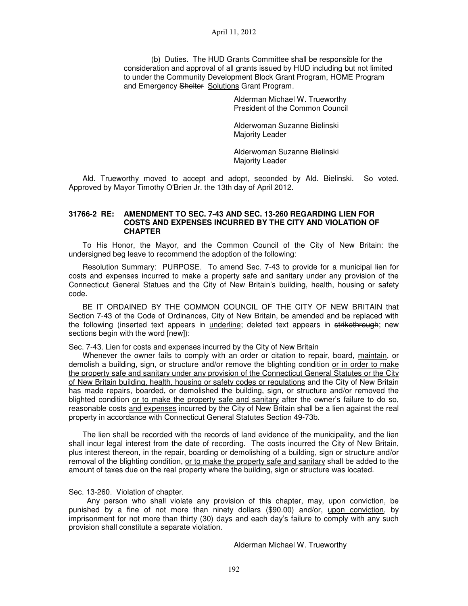(b) Duties. The HUD Grants Committee shall be responsible for the consideration and approval of all grants issued by HUD including but not limited to under the Community Development Block Grant Program, HOME Program and Emergency Shelter Solutions Grant Program.

> Alderman Michael W. Trueworthy President of the Common Council

Alderwoman Suzanne Bielinski Majority Leader

Alderwoman Suzanne Bielinski Majority Leader

Ald. Trueworthy moved to accept and adopt, seconded by Ald. Bielinski. So voted. Approved by Mayor Timothy O'Brien Jr. the 13th day of April 2012.

### **31766-2 RE: AMENDMENT TO SEC. 7-43 AND SEC. 13-260 REGARDING LIEN FOR COSTS AND EXPENSES INCURRED BY THE CITY AND VIOLATION OF CHAPTER**

To His Honor, the Mayor, and the Common Council of the City of New Britain: the undersigned beg leave to recommend the adoption of the following:

Resolution Summary: PURPOSE. To amend Sec. 7-43 to provide for a municipal lien for costs and expenses incurred to make a property safe and sanitary under any provision of the Connecticut General Statues and the City of New Britain's building, health, housing or safety code.

BE IT ORDAINED BY THE COMMON COUNCIL OF THE CITY OF NEW BRITAIN that Section 7-43 of the Code of Ordinances, City of New Britain, be amended and be replaced with the following (inserted text appears in *underline*; deleted text appears in strikethrough; new sections begin with the word [new]):

Sec. 7-43. Lien for costs and expenses incurred by the City of New Britain

Whenever the owner fails to comply with an order or citation to repair, board, maintain, or demolish a building, sign, or structure and/or remove the blighting condition or in order to make the property safe and sanitary under any provision of the Connecticut General Statutes or the City of New Britain building, health, housing or safety codes or regulations and the City of New Britain has made repairs, boarded, or demolished the building, sign, or structure and/or removed the blighted condition or to make the property safe and sanitary after the owner's failure to do so, reasonable costs and expenses incurred by the City of New Britain shall be a lien against the real property in accordance with Connecticut General Statutes Section 49-73b.

The lien shall be recorded with the records of land evidence of the municipality, and the lien shall incur legal interest from the date of recording. The costs incurred the City of New Britain, plus interest thereon, in the repair, boarding or demolishing of a building, sign or structure and/or removal of the blighting condition, or to make the property safe and sanitary shall be added to the amount of taxes due on the real property where the building, sign or structure was located.

Sec. 13-260. Violation of chapter.

Any person who shall violate any provision of this chapter, may, upon conviction, be punished by a fine of not more than ninety dollars (\$90.00) and/or, upon conviction, by imprisonment for not more than thirty (30) days and each day's failure to comply with any such provision shall constitute a separate violation.

Alderman Michael W. Trueworthy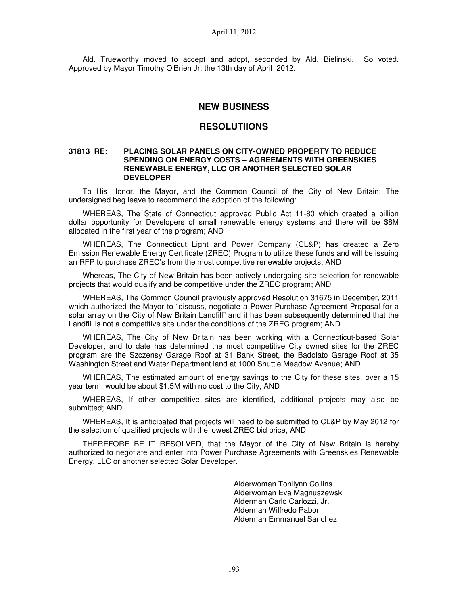Ald. Trueworthy moved to accept and adopt, seconded by Ald. Bielinski. So voted. Approved by Mayor Timothy O'Brien Jr. the 13th day of April 2012.

## **NEW BUSINESS**

### **RESOLUTIIONS**

### **31813 RE: PLACING SOLAR PANELS ON CITY-OWNED PROPERTY TO REDUCE SPENDING ON ENERGY COSTS – AGREEMENTS WITH GREENSKIES RENEWABLE ENERGY, LLC OR ANOTHER SELECTED SOLAR DEVELOPER**

To His Honor, the Mayor, and the Common Council of the City of New Britain: The undersigned beg leave to recommend the adoption of the following:

WHEREAS, The State of Connecticut approved Public Act 11-80 which created a billion dollar opportunity for Developers of small renewable energy systems and there will be \$8M allocated in the first year of the program; AND

WHEREAS, The Connecticut Light and Power Company (CL&P) has created a Zero Emission Renewable Energy Certificate (ZREC) Program to utilize these funds and will be issuing an RFP to purchase ZREC's from the most competitive renewable projects; AND

Whereas, The City of New Britain has been actively undergoing site selection for renewable projects that would qualify and be competitive under the ZREC program; AND

WHEREAS, The Common Council previously approved Resolution 31675 in December, 2011 which authorized the Mayor to "discuss, negotiate a Power Purchase Agreement Proposal for a solar array on the City of New Britain Landfill" and it has been subsequently determined that the Landfill is not a competitive site under the conditions of the ZREC program; AND

WHEREAS, The City of New Britain has been working with a Connecticut-based Solar Developer, and to date has determined the most competitive City owned sites for the ZREC program are the Szczensy Garage Roof at 31 Bank Street, the Badolato Garage Roof at 35 Washington Street and Water Department land at 1000 Shuttle Meadow Avenue; AND

WHEREAS, The estimated amount of energy savings to the City for these sites, over a 15 year term, would be about \$1.5M with no cost to the City; AND

WHEREAS, If other competitive sites are identified, additional projects may also be submitted; AND

WHEREAS, It is anticipated that projects will need to be submitted to CL&P by May 2012 for the selection of qualified projects with the lowest ZREC bid price; AND

THEREFORE BE IT RESOLVED, that the Mayor of the City of New Britain is hereby authorized to negotiate and enter into Power Purchase Agreements with Greenskies Renewable Energy, LLC or another selected Solar Developer.

> Alderwoman Tonilynn Collins Alderwoman Eva Magnuszewski Alderman Carlo Carlozzi, Jr. Alderman Wilfredo Pabon Alderman Emmanuel Sanchez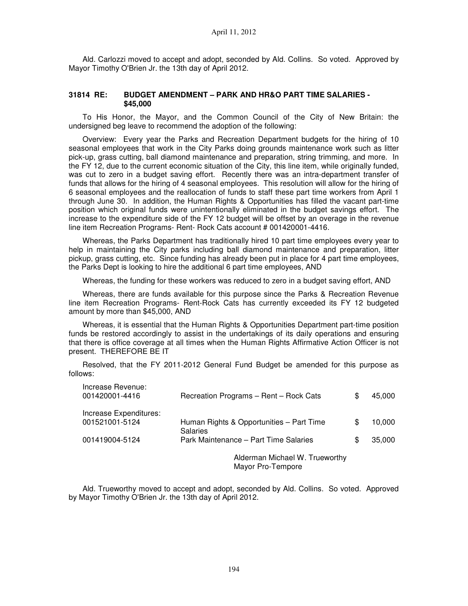Ald. Carlozzi moved to accept and adopt, seconded by Ald. Collins. So voted. Approved by Mayor Timothy O'Brien Jr. the 13th day of April 2012.

### **31814 RE: BUDGET AMENDMENT – PARK AND HR&O PART TIME SALARIES - \$45,000**

To His Honor, the Mayor, and the Common Council of the City of New Britain: the undersigned beg leave to recommend the adoption of the following:

Overview: Every year the Parks and Recreation Department budgets for the hiring of 10 seasonal employees that work in the City Parks doing grounds maintenance work such as litter pick-up, grass cutting, ball diamond maintenance and preparation, string trimming, and more. In the FY 12, due to the current economic situation of the City, this line item, while originally funded, was cut to zero in a budget saving effort. Recently there was an intra-department transfer of funds that allows for the hiring of 4 seasonal employees. This resolution will allow for the hiring of 6 seasonal employees and the reallocation of funds to staff these part time workers from April 1 through June 30. In addition, the Human Rights & Opportunities has filled the vacant part-time position which original funds were unintentionally eliminated in the budget savings effort. The increase to the expenditure side of the FY 12 budget will be offset by an overage in the revenue line item Recreation Programs- Rent- Rock Cats account # 001420001-4416.

Whereas, the Parks Department has traditionally hired 10 part time employees every year to help in maintaining the City parks including ball diamond maintenance and preparation, litter pickup, grass cutting, etc. Since funding has already been put in place for 4 part time employees, the Parks Dept is looking to hire the additional 6 part time employees, AND

Whereas, the funding for these workers was reduced to zero in a budget saving effort, AND

Whereas, there are funds available for this purpose since the Parks & Recreation Revenue line item Recreation Programs- Rent-Rock Cats has currently exceeded its FY 12 budgeted amount by more than \$45,000, AND

Whereas, it is essential that the Human Rights & Opportunities Department part-time position funds be restored accordingly to assist in the undertakings of its daily operations and ensuring that there is office coverage at all times when the Human Rights Affirmative Action Officer is not present. THEREFORE BE IT

Resolved, that the FY 2011-2012 General Fund Budget be amended for this purpose as follows:

| Increase Revenue:<br>001420001-4416      | Recreation Programs - Rent - Rock Cats                   | 45,000       |
|------------------------------------------|----------------------------------------------------------|--------------|
| Increase Expenditures:<br>001521001-5124 | Human Rights & Opportunities – Part Time                 | \$<br>10,000 |
| 001419004-5124                           | <b>Salaries</b><br>Park Maintenance - Part Time Salaries | 35,000       |
|                                          | Alderman Michael W. Trueworthy<br>Mayor Pro-Tempore      |              |

Ald. Trueworthy moved to accept and adopt, seconded by Ald. Collins. So voted. Approved by Mayor Timothy O'Brien Jr. the 13th day of April 2012.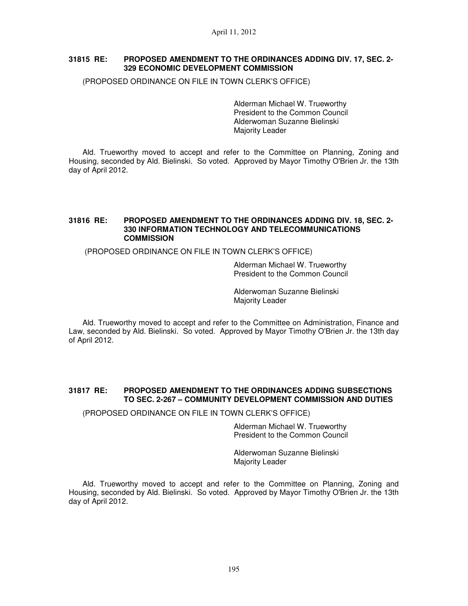### **31815 RE: PROPOSED AMENDMENT TO THE ORDINANCES ADDING DIV. 17, SEC. 2- 329 ECONOMIC DEVELOPMENT COMMISSION**

(PROPOSED ORDINANCE ON FILE IN TOWN CLERK'S OFFICE)

Alderman Michael W. Trueworthy President to the Common Council Alderwoman Suzanne Bielinski Majority Leader

Ald. Trueworthy moved to accept and refer to the Committee on Planning, Zoning and Housing, seconded by Ald. Bielinski. So voted. Approved by Mayor Timothy O'Brien Jr. the 13th day of April 2012.

### **31816 RE: PROPOSED AMENDMENT TO THE ORDINANCES ADDING DIV. 18, SEC. 2- 330 INFORMATION TECHNOLOGY AND TELECOMMUNICATIONS COMMISSION**

(PROPOSED ORDINANCE ON FILE IN TOWN CLERK'S OFFICE)

Alderman Michael W. Trueworthy President to the Common Council

Alderwoman Suzanne Bielinski Majority Leader

Ald. Trueworthy moved to accept and refer to the Committee on Administration, Finance and Law, seconded by Ald. Bielinski. So voted. Approved by Mayor Timothy O'Brien Jr. the 13th day of April 2012.

### **31817 RE: PROPOSED AMENDMENT TO THE ORDINANCES ADDING SUBSECTIONS TO SEC. 2-267 – COMMUNITY DEVELOPMENT COMMISSION AND DUTIES**

(PROPOSED ORDINANCE ON FILE IN TOWN CLERK'S OFFICE)

Alderman Michael W. Trueworthy President to the Common Council

Alderwoman Suzanne Bielinski Majority Leader

Ald. Trueworthy moved to accept and refer to the Committee on Planning, Zoning and Housing, seconded by Ald. Bielinski. So voted. Approved by Mayor Timothy O'Brien Jr. the 13th day of April 2012.